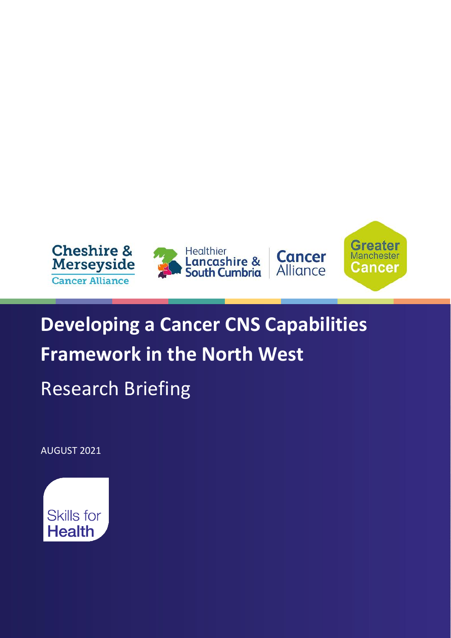

# **Developing a Cancer CNS Capabilities Framework in the North West**

Research Briefing

AUGUST 2021

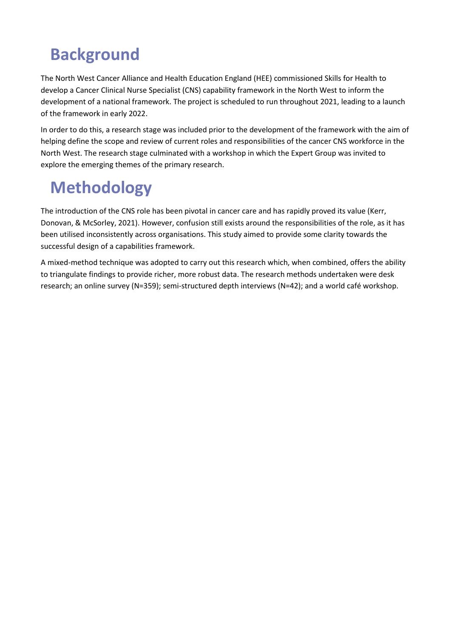### **Background**

The North West Cancer Alliance and Health Education England (HEE) commissioned Skills for Health to develop a Cancer Clinical Nurse Specialist (CNS) capability framework in the North West to inform the development of a national framework. The project is scheduled to run throughout 2021, leading to a launch of the framework in early 2022.

In order to do this, a research stage was included prior to the development of the framework with the aim of helping define the scope and review of current roles and responsibilities of the cancer CNS workforce in the North West. The research stage culminated with a workshop in which the Expert Group was invited to explore the emerging themes of the primary research.

### **Methodology**

The introduction of the CNS role has been pivotal in cancer care and has rapidly proved its value (Kerr, Donovan, & McSorley, 2021). However, confusion still exists around the responsibilities of the role, as it has been utilised inconsistently across organisations. This study aimed to provide some clarity towards the successful design of a capabilities framework.

A mixed-method technique was adopted to carry out this research which, when combined, offers the ability to triangulate findings to provide richer, more robust data. The research methods undertaken were desk research; an online survey (N=359); semi-structured depth interviews (N=42); and a world café workshop.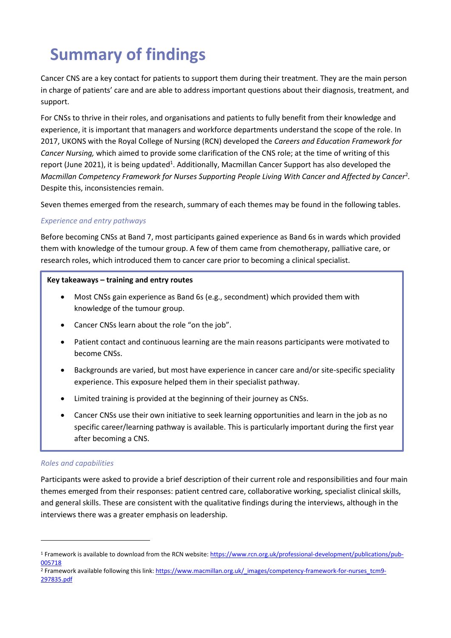## **Summary of findings**

Cancer CNS are a key contact for patients to support them during their treatment. They are the main person in charge of patients' care and are able to address important questions about their diagnosis, treatment, and support.

For CNSs to thrive in their roles, and organisations and patients to fully benefit from their knowledge and experience, it is important that managers and workforce departments understand the scope of the role. In 2017, UKONS with the Royal College of Nursing (RCN) developed the *Careers and Education Framework for Cancer Nursing,* which aimed to provide some clarification of the CNS role; at the time of writing of this report (June 2021), it is being updated<sup>1</sup>. Additionally, Macmillan Cancer Support has also developed the *Macmillan Competency Framework for Nurses Supporting People Living With Cancer and Affected by Cancer*<sup>2</sup> *.* Despite this, inconsistencies remain.

Seven themes emerged from the research, summary of each themes may be found in the following tables.

#### *Experience and entry pathways*

Before becoming CNSs at Band 7, most participants gained experience as Band 6s in wards which provided them with knowledge of the tumour group. A few of them came from chemotherapy, palliative care, or research roles, which introduced them to cancer care prior to becoming a clinical specialist.

#### **Key takeaways – training and entry routes**

- Most CNSs gain experience as Band 6s (e.g., secondment) which provided them with knowledge of the tumour group.
- Cancer CNSs learn about the role "on the job".
- Patient contact and continuous learning are the main reasons participants were motivated to become CNSs.
- Backgrounds are varied, but most have experience in cancer care and/or site-specific speciality experience. This exposure helped them in their specialist pathway.
- Limited training is provided at the beginning of their journey as CNSs.
- Cancer CNSs use their own initiative to seek learning opportunities and learn in the job as no specific career/learning pathway is available. This is particularly important during the first year after becoming a CNS.

#### *Roles and capabilities*

Participants were asked to provide a brief description of their current role and responsibilities and four main themes emerged from their responses: patient centred care, collaborative working, specialist clinical skills, and general skills. These are consistent with the qualitative findings during the interviews, although in the interviews there was a greater emphasis on leadership.

<sup>&</sup>lt;sup>1</sup> Framework is available to download from the RCN website: [https://www.rcn.org.uk/professional-development/publications/pub-](https://www.rcn.org.uk/professional-development/publications/pub-005718)[005718](https://www.rcn.org.uk/professional-development/publications/pub-005718)

<sup>&</sup>lt;sup>2</sup> Framework available following this link[: https://www.macmillan.org.uk/\\_images/competency-framework-for-nurses\\_tcm9-](https://www.macmillan.org.uk/_images/competency-framework-for-nurses_tcm9-297835.pdf) [297835.pdf](https://www.macmillan.org.uk/_images/competency-framework-for-nurses_tcm9-297835.pdf)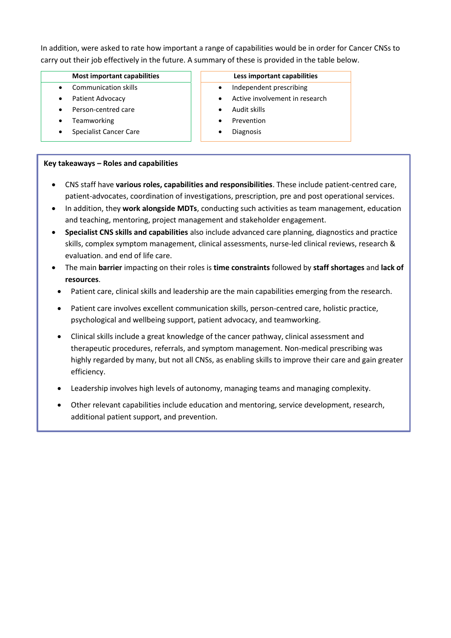In addition, were asked to rate how important a range of capabilities would be in order for Cancer CNSs to carry out their job effectively in the future. A summary of these is provided in the table below.

- Communication skills
- Patient Advocacy
- Person-centred care
- **Teamworking**
- Specialist Cancer Care

#### **Key takeaways – Roles and capabilities**

- CNS staff have **various roles, capabilities and responsibilities**. These include patient-centred care, patient-advocates, coordination of investigations, prescription, pre and post operational services.
- In addition, they **work alongside MDTs**, conducting such activities as team management, education and teaching, mentoring, project management and stakeholder engagement.
- **Specialist CNS skills and capabilities** also include advanced care planning, diagnostics and practice skills, complex symptom management, clinical assessments, nurse-led clinical reviews, research & evaluation. and end of life care.
- The main **barrier** impacting on their roles is **time constraints** followed by **staff shortages** and **lack of resources**.
- Patient care, clinical skills and leadership are the main capabilities emerging from the research.
- Patient care involves excellent communication skills, person-centred care, holistic practice, psychological and wellbeing support, patient advocacy, and teamworking.
- Clinical skills include a great knowledge of the cancer pathway, clinical assessment and therapeutic procedures, referrals, and symptom management. Non-medical prescribing was highly regarded by many, but not all CNSs, as enabling skills to improve their care and gain greater efficiency.
- Leadership involves high levels of autonomy, managing teams and managing complexity.
- Other relevant capabilities include education and mentoring, service development, research, additional patient support, and prevention.

#### **Most important capabilities Less important capabilities**

- Independent prescribing
- Active involvement in research
- Audit skills
- **Prevention**
- **Diagnosis**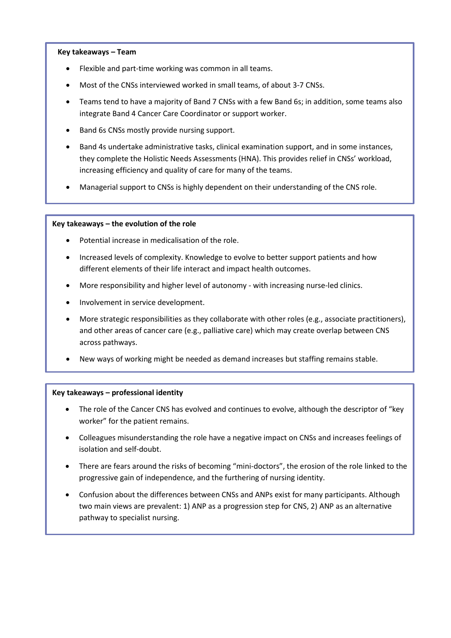#### **Key takeaways – Team**

- Flexible and part-time working was common in all teams.
- Most of the CNSs interviewed worked in small teams, of about 3-7 CNSs.
- Teams tend to have a majority of Band 7 CNSs with a few Band 6s; in addition, some teams also integrate Band 4 Cancer Care Coordinator or support worker.
- Band 6s CNSs mostly provide nursing support.
- Band 4s undertake administrative tasks, clinical examination support, and in some instances, they complete the Holistic Needs Assessments (HNA). This provides relief in CNSs' workload, increasing efficiency and quality of care for many of the teams.
- Managerial support to CNSs is highly dependent on their understanding of the CNS role.

#### **Key takeaways – the evolution of the role**

- Potential increase in medicalisation of the role.
- Increased levels of complexity. Knowledge to evolve to better support patients and how different elements of their life interact and impact health outcomes.
- More responsibility and higher level of autonomy with increasing nurse-led clinics.
- Involvement in service development.
- More strategic responsibilities as they collaborate with other roles (e.g., associate practitioners), and other areas of cancer care (e.g., palliative care) which may create overlap between CNS across pathways.
- New ways of working might be needed as demand increases but staffing remains stable.

#### **Key takeaways – professional identity**

- The role of the Cancer CNS has evolved and continues to evolve, although the descriptor of "key worker" for the patient remains.
- Colleagues misunderstanding the role have a negative impact on CNSs and increases feelings of isolation and self-doubt.
- There are fears around the risks of becoming "mini-doctors", the erosion of the role linked to the progressive gain of independence, and the furthering of nursing identity.
- Confusion about the differences between CNSs and ANPs exist for many participants. Although two main views are prevalent: 1) ANP as a progression step for CNS, 2) ANP as an alternative pathway to specialist nursing.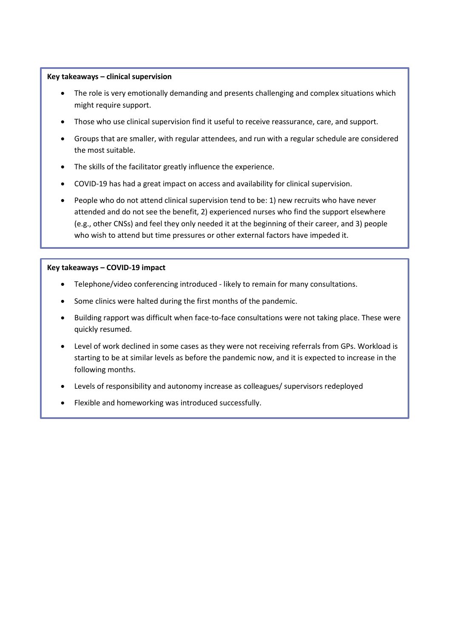#### **Key takeaways – clinical supervision**

- The role is very emotionally demanding and presents challenging and complex situations which might require support.
- Those who use clinical supervision find it useful to receive reassurance, care, and support.
- Groups that are smaller, with regular attendees, and run with a regular schedule are considered the most suitable.
- The skills of the facilitator greatly influence the experience.
- COVID-19 has had a great impact on access and availability for clinical supervision.
- People who do not attend clinical supervision tend to be: 1) new recruits who have never attended and do not see the benefit, 2) experienced nurses who find the support elsewhere (e.g., other CNSs) and feel they only needed it at the beginning of their career, and 3) people who wish to attend but time pressures or other external factors have impeded it.

#### **Key takeaways – COVID-19 impact**

- Telephone/video conferencing introduced likely to remain for many consultations.
- Some clinics were halted during the first months of the pandemic.
- Building rapport was difficult when face-to-face consultations were not taking place. These were quickly resumed.
- Level of work declined in some cases as they were not receiving referrals from GPs. Workload is starting to be at similar levels as before the pandemic now, and it is expected to increase in the following months.
- Levels of responsibility and autonomy increase as colleagues/ supervisors redeployed
- Flexible and homeworking was introduced successfully.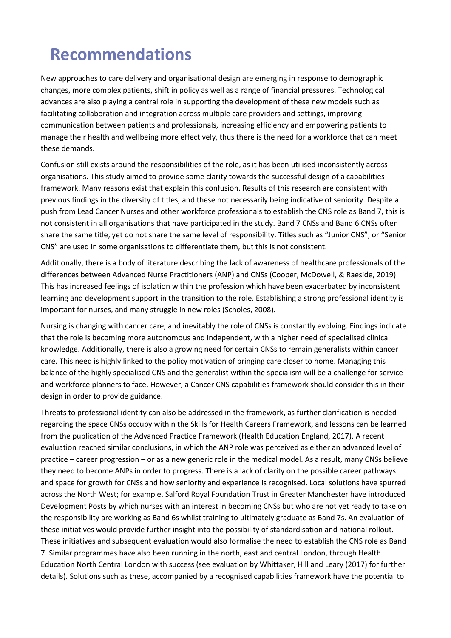### **Recommendations**

New approaches to care delivery and organisational design are emerging in response to demographic changes, more complex patients, shift in policy as well as a range of financial pressures. Technological advances are also playing a central role in supporting the development of these new models such as facilitating collaboration and integration across multiple care providers and settings, improving communication between patients and professionals, increasing efficiency and empowering patients to manage their health and wellbeing more effectively, thus there is the need for a workforce that can meet these demands.

Confusion still exists around the responsibilities of the role, as it has been utilised inconsistently across organisations. This study aimed to provide some clarity towards the successful design of a capabilities framework. Many reasons exist that explain this confusion. Results of this research are consistent with previous findings in the diversity of titles, and these not necessarily being indicative of seniority. Despite a push from Lead Cancer Nurses and other workforce professionals to establish the CNS role as Band 7, this is not consistent in all organisations that have participated in the study. Band 7 CNSs and Band 6 CNSs often share the same title, yet do not share the same level of responsibility. Titles such as "Junior CNS", or "Senior CNS" are used in some organisations to differentiate them, but this is not consistent.

Additionally, there is a body of literature describing the lack of awareness of healthcare professionals of the differences between Advanced Nurse Practitioners (ANP) and CNSs (Cooper, McDowell, & Raeside, 2019). This has increased feelings of isolation within the profession which have been exacerbated by inconsistent learning and development support in the transition to the role. Establishing a strong professional identity is important for nurses, and many struggle in new roles (Scholes, 2008).

Nursing is changing with cancer care, and inevitably the role of CNSs is constantly evolving. Findings indicate that the role is becoming more autonomous and independent, with a higher need of specialised clinical knowledge. Additionally, there is also a growing need for certain CNSs to remain generalists within cancer care. This need is highly linked to the policy motivation of bringing care closer to home. Managing this balance of the highly specialised CNS and the generalist within the specialism will be a challenge for service and workforce planners to face. However, a Cancer CNS capabilities framework should consider this in their design in order to provide guidance.

Threats to professional identity can also be addressed in the framework, as further clarification is needed regarding the space CNSs occupy within the Skills for Health Careers Framework, and lessons can be learned from the publication of the Advanced Practice Framework (Health Education England, 2017). A recent evaluation reached similar conclusions, in which the ANP role was perceived as either an advanced level of practice – career progression – or as a new generic role in the medical model. As a result, many CNSs believe they need to become ANPs in order to progress. There is a lack of clarity on the possible career pathways and space for growth for CNSs and how seniority and experience is recognised. Local solutions have spurred across the North West; for example, Salford Royal Foundation Trust in Greater Manchester have introduced Development Posts by which nurses with an interest in becoming CNSs but who are not yet ready to take on the responsibility are working as Band 6s whilst training to ultimately graduate as Band 7s. An evaluation of these initiatives would provide further insight into the possibility of standardisation and national rollout. These initiatives and subsequent evaluation would also formalise the need to establish the CNS role as Band 7. Similar programmes have also been running in the north, east and central London, through Health Education North Central London with success (see evaluation by Whittaker, Hill and Leary (2017) for further details). Solutions such as these, accompanied by a recognised capabilities framework have the potential to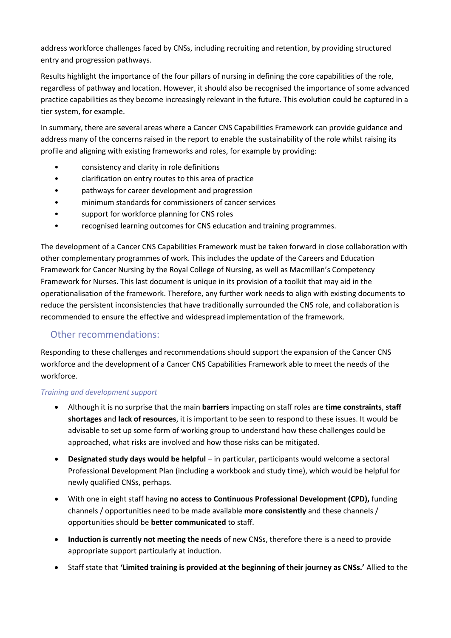address workforce challenges faced by CNSs, including recruiting and retention, by providing structured entry and progression pathways.

Results highlight the importance of the four pillars of nursing in defining the core capabilities of the role, regardless of pathway and location. However, it should also be recognised the importance of some advanced practice capabilities as they become increasingly relevant in the future. This evolution could be captured in a tier system, for example.

In summary, there are several areas where a Cancer CNS Capabilities Framework can provide guidance and address many of the concerns raised in the report to enable the sustainability of the role whilst raising its profile and aligning with existing frameworks and roles, for example by providing:

- consistency and clarity in role definitions
- clarification on entry routes to this area of practice
- pathways for career development and progression
- minimum standards for commissioners of cancer services
- support for workforce planning for CNS roles
- recognised learning outcomes for CNS education and training programmes.

The development of a Cancer CNS Capabilities Framework must be taken forward in close collaboration with other complementary programmes of work. This includes the update of the Careers and Education Framework for Cancer Nursing by the Royal College of Nursing, as well as Macmillan's Competency Framework for Nurses. This last document is unique in its provision of a toolkit that may aid in the operationalisation of the framework. Therefore, any further work needs to align with existing documents to reduce the persistent inconsistencies that have traditionally surrounded the CNS role, and collaboration is recommended to ensure the effective and widespread implementation of the framework.

### Other recommendations:

Responding to these challenges and recommendations should support the expansion of the Cancer CNS workforce and the development of a Cancer CNS Capabilities Framework able to meet the needs of the workforce.

#### *Training and development support*

- Although it is no surprise that the main **barriers** impacting on staff roles are **time constraints**, **staff shortages** and **lack of resources**, it is important to be seen to respond to these issues. It would be advisable to set up some form of working group to understand how these challenges could be approached, what risks are involved and how those risks can be mitigated.
- **Designated study days would be helpful** in particular, participants would welcome a sectoral Professional Development Plan (including a workbook and study time), which would be helpful for newly qualified CNSs, perhaps.
- With one in eight staff having **no access to Continuous Professional Development (CPD),** funding channels / opportunities need to be made available **more consistently** and these channels / opportunities should be **better communicated** to staff.
- **Induction is currently not meeting the needs** of new CNSs, therefore there is a need to provide appropriate support particularly at induction.
- Staff state that **'Limited training is provided at the beginning of their journey as CNSs.'** Allied to the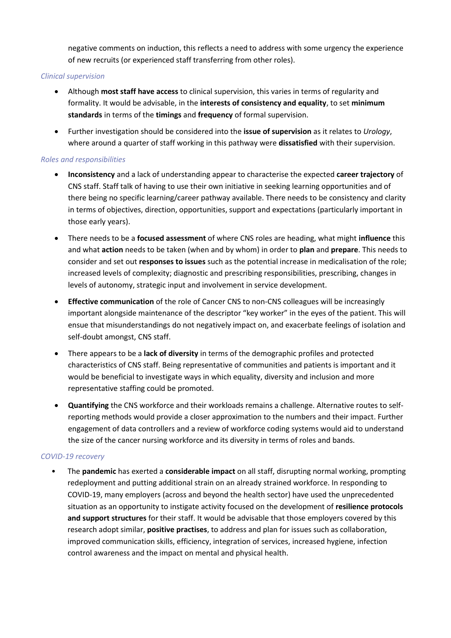negative comments on induction, this reflects a need to address with some urgency the experience of new recruits (or experienced staff transferring from other roles).

#### *Clinical supervision*

- Although **most staff have access** to clinical supervision, this varies in terms of regularity and formality. It would be advisable, in the **interests of consistency and equality**, to set **minimum standards** in terms of the **timings** and **frequency** of formal supervision.
- Further investigation should be considered into the **issue of supervision** as it relates to *Urology*, where around a quarter of staff working in this pathway were **dissatisfied** with their supervision.

#### *Roles and responsibilities*

- **Inconsistency** and a lack of understanding appear to characterise the expected **career trajectory** of CNS staff. Staff talk of having to use their own initiative in seeking learning opportunities and of there being no specific learning/career pathway available. There needs to be consistency and clarity in terms of objectives, direction, opportunities, support and expectations (particularly important in those early years).
- There needs to be a **focused assessment** of where CNS roles are heading, what might **influence** this and what **action** needs to be taken (when and by whom) in order to **plan** and **prepare**. This needs to consider and set out **responses to issues** such as the potential increase in medicalisation of the role; increased levels of complexity; diagnostic and prescribing responsibilities, prescribing, changes in levels of autonomy, strategic input and involvement in service development.
- **Effective communication** of the role of Cancer CNS to non-CNS colleagues will be increasingly important alongside maintenance of the descriptor "key worker" in the eyes of the patient. This will ensue that misunderstandings do not negatively impact on, and exacerbate feelings of isolation and self-doubt amongst, CNS staff.
- There appears to be a **lack of diversity** in terms of the demographic profiles and protected characteristics of CNS staff. Being representative of communities and patients is important and it would be beneficial to investigate ways in which equality, diversity and inclusion and more representative staffing could be promoted.
- **Quantifying** the CNS workforce and their workloads remains a challenge. Alternative routes to selfreporting methods would provide a closer approximation to the numbers and their impact. Further engagement of data controllers and a review of workforce coding systems would aid to understand the size of the cancer nursing workforce and its diversity in terms of roles and bands.

#### *COVID-19 recovery*

• The **pandemic** has exerted a **considerable impact** on all staff, disrupting normal working, prompting redeployment and putting additional strain on an already strained workforce. In responding to COVID-19, many employers (across and beyond the health sector) have used the unprecedented situation as an opportunity to instigate activity focused on the development of **resilience protocols and support structures** for their staff. It would be advisable that those employers covered by this research adopt similar, **positive practises**, to address and plan for issues such as collaboration, improved communication skills, efficiency, integration of services, increased hygiene, infection control awareness and the impact on mental and physical health.